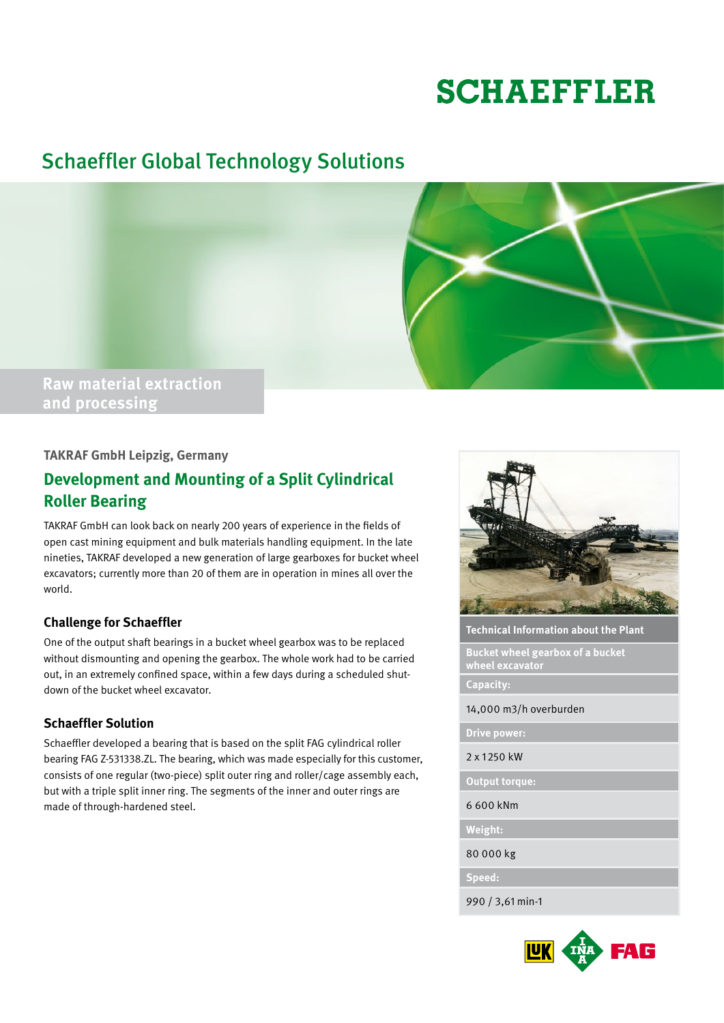# **SCHAEFFLER**

# Schaeffler Global Technology Solutions



## **TAKRAF GmbH Leipzig, Germany**

# **Development and Mounting of a Split Cylindrical Roller Bearing**

TAKRAF GmbH can look back on nearly 200 years of experience in the fields of open cast mining equipment and bulk materials handling equipment. In the late nineties, TAKRAF developed a new generation of large gearboxes for bucket wheel excavators; currently more than 20 of them are in operation in mines all over the world.

#### **Challenge for Schaeffler**

One of the output shaft bearings in a bucket wheel gearbox was to be replaced without dismounting and opening the gearbox. The whole work had to be carried out, in an extremely confined space, within a few days during a scheduled shutdown of the bucket wheel excavator.

#### **Schaeffler Solution**

Schaeffler developed a bearing that is based on the split FAG cylindrical roller bearing FAG Z-531338.ZL. The bearing, which was made especially for this customer, consists of one regular (two-piece) split outer ring and roller/cage assembly each, but with a triple split inner ring. The segments of the inner and outer rings are made of through-hardened steel.



**Technical Information about the Plant**

**Bucket wheel gearbox of a bucket wheel excavator**

**Capacity:**

14,000 m3/h overburden

**Drive power:**

2 x 1250 kW

**Output torque:**

6 600 kNm

**Weight:**

80 000 kg

**Speed:**

990 / 3,61 min-1